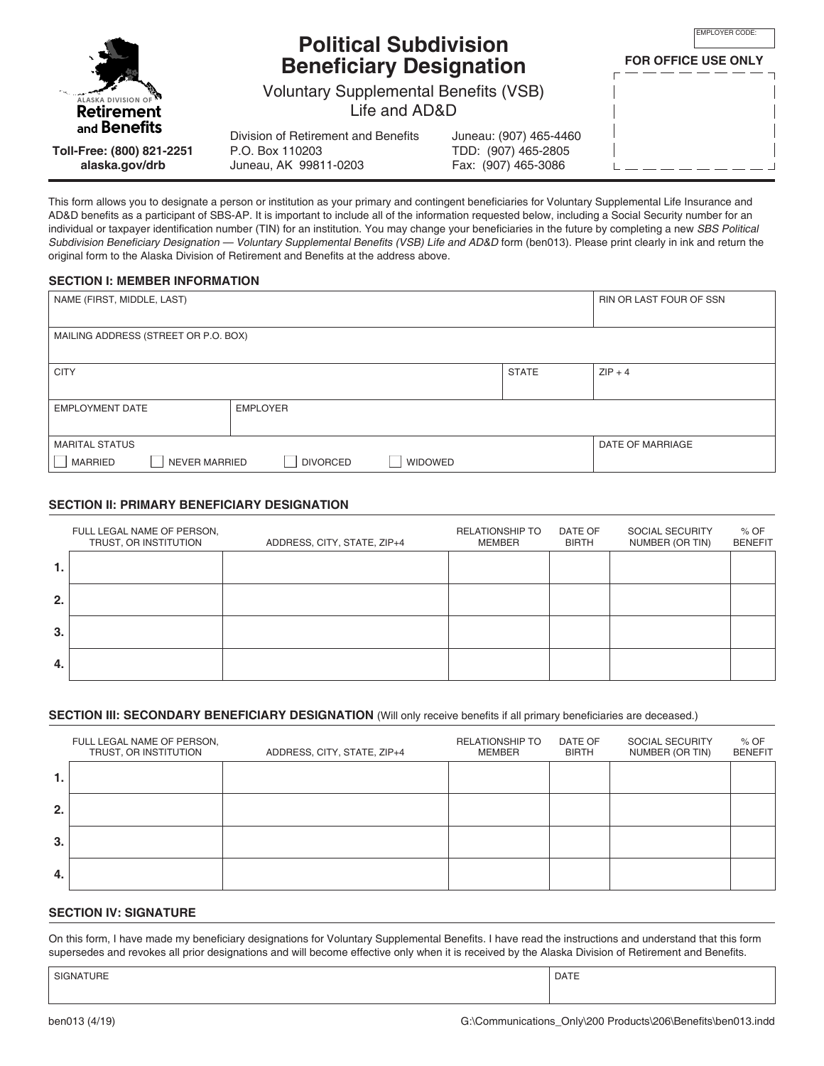| <b>ALASKA DIVISION OF</b> |
|---------------------------|
| Retirement                |
| and <b>Benefits</b>       |

# **Political Subdivision Beneficiary Designation**

**FOR OFFICE USE ONLY**

EMPLOYER CODE:

Voluntary Supplemental Benefits (VSB) Life and AD&D

**Toll-Free: (800) 821-2251 alaska.gov/drb**

Division of Retirement and Benefits P.O. Box 110203 Juneau, AK 99811-0203

Juneau: (907) 465-4460 TDD: (907) 465-2805 Fax: (907) 465-3086

This form allows you to designate a person or institution as your primary and contingent beneficiaries for Voluntary Supplemental Life Insurance and AD&D benefits as a participant of SBS-AP. It is important to include all of the information requested below, including a Social Security number for an individual or taxpayer identification number (TIN) for an institution. You may change your beneficiaries in the future by completing a new SBS Political Subdivision Beneficiary Designation - Voluntary Supplemental Benefits (VSB) Life and AD&D form (ben013). Please print clearly in ink and return the original form to the Alaska Division of Retirement and Benefits at the address above.

### **SECTION I: MEMBER INFORMATION**

| NAME (FIRST, MIDDLE, LAST)                                      | RIN OR LAST FOUR OF SSN |  |  |  |  |  |
|-----------------------------------------------------------------|-------------------------|--|--|--|--|--|
| MAILING ADDRESS (STREET OR P.O. BOX)                            |                         |  |  |  |  |  |
| <b>CITY</b>                                                     | $ZIP + 4$               |  |  |  |  |  |
| <b>EMPLOYMENT DATE</b>                                          | <b>EMPLOYER</b>         |  |  |  |  |  |
| <b>MARITAL STATUS</b><br><b>NEVER MARRIED</b><br><b>MARRIED</b> | DATE OF MARRIAGE        |  |  |  |  |  |

#### **SECTION II: PRIMARY BENEFICIARY DESIGNATION**

|    | FULL LEGAL NAME OF PERSON,<br>TRUST, OR INSTITUTION | ADDRESS, CITY, STATE, ZIP+4 | <b>RELATIONSHIP TO</b><br><b>MEMBER</b> | DATE OF<br><b>BIRTH</b> | SOCIAL SECURITY<br>NUMBER (OR TIN) | % OF<br><b>BENEFIT</b> |
|----|-----------------------------------------------------|-----------------------------|-----------------------------------------|-------------------------|------------------------------------|------------------------|
| 1. |                                                     |                             |                                         |                         |                                    |                        |
| 2. |                                                     |                             |                                         |                         |                                    |                        |
| 3. |                                                     |                             |                                         |                         |                                    |                        |
| 4. |                                                     |                             |                                         |                         |                                    |                        |

#### **SECTION III: SECONDARY BENEFICIARY DESIGNATION** (Will only receive benefits if all primary beneficiaries are deceased.)

|    | FULL LEGAL NAME OF PERSON,<br>TRUST, OR INSTITUTION | ADDRESS, CITY, STATE, ZIP+4 | <b>RELATIONSHIP TO</b><br><b>MEMBER</b> | DATE OF<br>BIRTH | SOCIAL SECURITY<br>NUMBER (OR TIN) | $%$ OF<br><b>BENEFIT</b> |
|----|-----------------------------------------------------|-----------------------------|-----------------------------------------|------------------|------------------------------------|--------------------------|
|    |                                                     |                             |                                         |                  |                                    |                          |
| 2. |                                                     |                             |                                         |                  |                                    |                          |
| 3. |                                                     |                             |                                         |                  |                                    |                          |
| 4. |                                                     |                             |                                         |                  |                                    |                          |

#### **SECTION IV: SIGNATURE**

On this form, I have made my beneficiary designations for Voluntary Supplemental Benefits. I have read the instructions and understand that this form supersedes and revokes all prior designations and will become effective only when it is received by the Alaska Division of Retirement and Benefits.

SIGNATURE PRESENTED IN A SERVICE OF SERVICE SIGNATURE PRESENTED IN A SERVICE OF SERVICE OF SERVICE OF SERVICE O